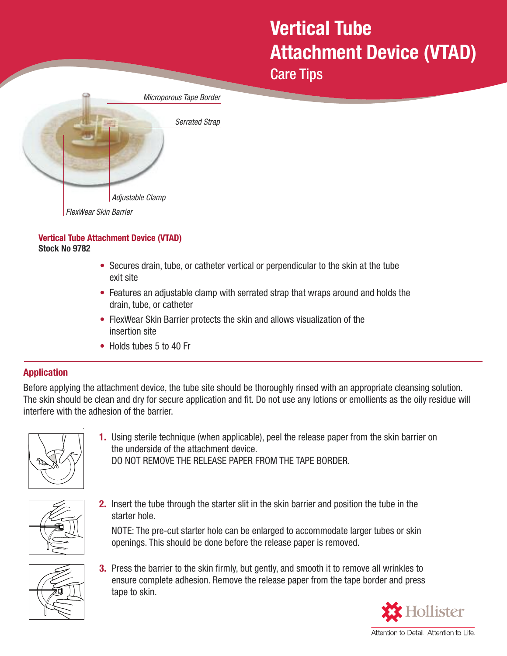## **Vertical Tube Attachment Device (VTAD)**

Care Tips

| Microporous Tape Border |
|-------------------------|
| <b>Serrated Strap</b>   |
|                         |
|                         |
|                         |
| Adjustable Clamp        |
| FlexWear Skin Barrier   |

## **Vertical Tube Attachment Device (VTAD) Stock No 9782**

- Secures drain, tube, or catheter vertical or perpendicular to the skin at the tube exit site
- Features an adjustable clamp with serrated strap that wraps around and holds the drain, tube, or catheter
- FlexWear Skin Barrier protects the skin and allows visualization of the insertion site
- Holds tubes 5 to 40 Fr

## **Application**

Before applying the attachment device, the tube site should be thoroughly rinsed with an appropriate cleansing solution. The skin should be clean and dry for secure application and fit. Do not use any lotions or emollients as the oily residue will interfere with the adhesion of the barrier.



**1.** Using sterile technique (when applicable), peel the release paper from the skin barrier on the underside of the attachment device. DO NOT REMOVE THE RELEASE PAPER FROM THE TAPE BORDER.



**2.** Insert the tube through the starter slit in the skin barrier and position the tube in the starter hole.

NOTE: The pre-cut starter hole can be enlarged to accommodate larger tubes or skin openings. This should be done before the release paper is removed.



**3.** Press the barrier to the skin firmly, but gently, and smooth it to remove all wrinkles to ensure complete adhesion. Remove the release paper from the tape border and press tape to skin.



Attention to Detail. Attention to Life.